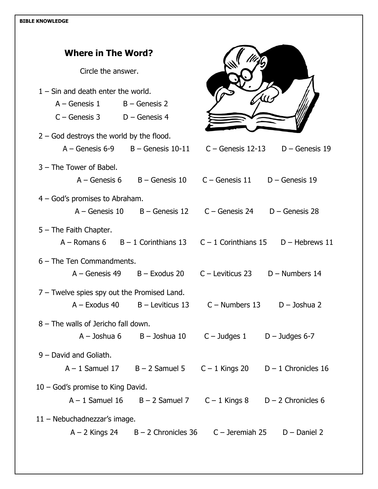| <b>Where in The Word?</b>                                                                                |                                                                     |                                                       |                                      |
|----------------------------------------------------------------------------------------------------------|---------------------------------------------------------------------|-------------------------------------------------------|--------------------------------------|
| Circle the answer.                                                                                       |                                                                     |                                                       |                                      |
| $1 -$ Sin and death enter the world.<br>$A - \text{Genesis} 1$ $B - \text{Genesis} 2$<br>$C -$ Genesis 3 | D - Genesis 4                                                       |                                                       |                                      |
| $2 -$ God destroys the world by the flood.<br>$A -$ Genesis 6-9 $B -$ Genesis 10-11                      |                                                                     |                                                       | $C -$ Genesis 12-13 $D -$ Genesis 19 |
| 3 - The Tower of Babel.                                                                                  | $A -$ Genesis 6 B – Genesis 10 C – Genesis 11                       |                                                       | $D -$ Genesis 19                     |
| $4 - God's$ promises to Abraham.                                                                         | $A -$ Genesis 10 $B -$ Genesis 12 $C -$ Genesis 24 $D -$ Genesis 28 |                                                       |                                      |
| $5 -$ The Faith Chapter.<br>A – Romans 6 $B - 1$ Corinthians 13 $C - 1$ Corinthians 15 $D$ – Hebrews 11  |                                                                     |                                                       |                                      |
| $6$ – The Ten Commandments.                                                                              | A – Genesis 49 B – Exodus 20 C – Leviticus 23 D – Numbers 14        |                                                       |                                      |
| $7$ – Twelve spies spy out the Promised Land.<br>$A -$ Exodus 40                                         | $B -$ Leviticus 13                                                  |                                                       | $C -$ Numbers 13 $D -$ Joshua 2      |
| 8 - The walls of Jericho fall down.<br>A – Joshua 6                                                      | B – Joshua 10                                                       | $C - Judges$ 1 D – Judges 6-7                         |                                      |
| 9 - David and Goliath.<br>$A - 1$ Samuel 17 $B - 2$ Samuel 5 $C - 1$ Kings 20 $D - 1$ Chronicles 16      |                                                                     |                                                       |                                      |
| $10 - God's$ promise to King David.<br>$A - 1$ Samuel 16                                                 |                                                                     | $B - 2$ Samuel 7 $C - 1$ Kings 8 $D - 2$ Chronicles 6 |                                      |
| 11 - Nebuchadnezzar's image.                                                                             | $A - 2$ Kings 24 $B - 2$ Chronicles 36 $C -$ Jeremiah 25            |                                                       | $D$ – Daniel 2                       |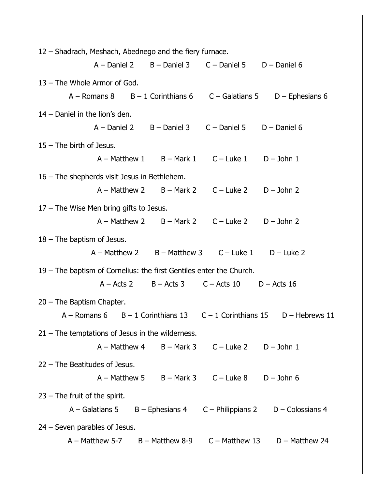| 12 - Shadrach, Meshach, Abednego and the fiery furnace.                                                                      |                                              |                                                                                    |                                                                             |  |  |
|------------------------------------------------------------------------------------------------------------------------------|----------------------------------------------|------------------------------------------------------------------------------------|-----------------------------------------------------------------------------|--|--|
|                                                                                                                              |                                              | $A -$ Daniel 2 $B -$ Daniel 3 $C -$ Daniel 5 $D -$ Daniel 6                        |                                                                             |  |  |
| 13 - The Whole Armor of God.                                                                                                 |                                              |                                                                                    |                                                                             |  |  |
|                                                                                                                              |                                              |                                                                                    | A – Romans 8 $B - 1$ Corinthians 6 $C -$ Galatians 5 $D -$ Ephesians 6      |  |  |
| 14 - Daniel in the lion's den.                                                                                               |                                              |                                                                                    |                                                                             |  |  |
|                                                                                                                              |                                              | $A -$ Daniel 2 $B -$ Daniel 3 $C -$ Daniel 5 $D -$ Daniel 6                        |                                                                             |  |  |
| $15$ – The birth of Jesus.                                                                                                   |                                              |                                                                                    |                                                                             |  |  |
|                                                                                                                              |                                              |                                                                                    |                                                                             |  |  |
|                                                                                                                              |                                              | $A - \text{Matthev 1}$ $B - \text{Mark 1}$ $C - \text{Luke 1}$ $D - \text{John 1}$ |                                                                             |  |  |
| 16 – The shepherds visit Jesus in Bethlehem.                                                                                 |                                              |                                                                                    |                                                                             |  |  |
|                                                                                                                              |                                              | $A - \text{Matthev 2}$ $B - \text{Mark 2}$ $C - \text{Luke 2}$ $D - \text{John 2}$ |                                                                             |  |  |
| 17 – The Wise Men bring gifts to Jesus.                                                                                      |                                              |                                                                                    |                                                                             |  |  |
|                                                                                                                              |                                              | $A - \text{Matthev 2}$ $B - \text{Mark 2}$ $C - \text{Luke 2}$ $D - \text{John 2}$ |                                                                             |  |  |
| $18$ – The baptism of Jesus.                                                                                                 |                                              |                                                                                    |                                                                             |  |  |
|                                                                                                                              |                                              | $A - Matthew 2$ $B - Matthew 3$ $C - Luke 1$ $D - Luke 2$                          |                                                                             |  |  |
|                                                                                                                              |                                              |                                                                                    |                                                                             |  |  |
| 19 - The baptism of Cornelius: the first Gentiles enter the Church.<br>$A - Acts$ 2 $B - Acts$ 3 $C - Acts$ 10 $D - Acts$ 16 |                                              |                                                                                    |                                                                             |  |  |
|                                                                                                                              |                                              |                                                                                    |                                                                             |  |  |
| $20$ – The Baptism Chapter.                                                                                                  |                                              |                                                                                    |                                                                             |  |  |
|                                                                                                                              |                                              |                                                                                    | A – Romans 6 $B - 1$ Corinthians 13 $C - 1$ Corinthians 15 $D$ – Hebrews 11 |  |  |
| $21$ – The temptations of Jesus in the wilderness.                                                                           |                                              |                                                                                    |                                                                             |  |  |
|                                                                                                                              | $A - \text{Matthev } 4$ $B - \text{Mark } 3$ |                                                                                    | $C -$ Luke 2 $D -$ John 1                                                   |  |  |
| $22$ – The Beatitudes of Jesus.                                                                                              |                                              |                                                                                    |                                                                             |  |  |
|                                                                                                                              | $A - \text{Matthev } 5$ $B - \text{Mark } 3$ |                                                                                    | $C -$ Luke $8$ D $-$ John 6                                                 |  |  |
| $23$ – The fruit of the spirit.                                                                                              |                                              |                                                                                    |                                                                             |  |  |
|                                                                                                                              |                                              |                                                                                    |                                                                             |  |  |
|                                                                                                                              |                                              |                                                                                    | $A -$ Galatians 5 B - Ephesians 4 C - Philippians 2 D - Colossians 4        |  |  |
| $24$ – Seven parables of Jesus.                                                                                              |                                              |                                                                                    |                                                                             |  |  |
|                                                                                                                              |                                              |                                                                                    | $A - \text{Matthev } 5-7$ B - Matthew 8-9 C - Matthew 13 D - Matthew 24     |  |  |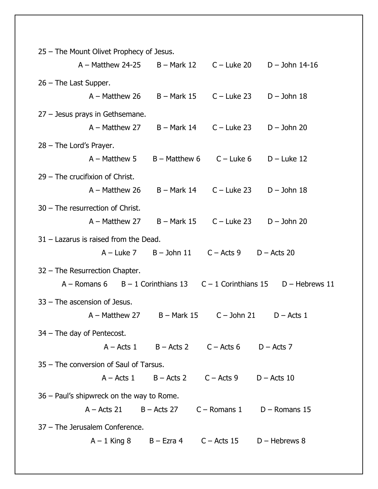| 25 – The Mount Olivet Prophecy of Jesus.  |                                                           |                            |                                |  |  |
|-------------------------------------------|-----------------------------------------------------------|----------------------------|--------------------------------|--|--|
| $A - Matthew 24-25$                       | B – Mark 12                                               | $C -$ Luke 20              | $D -$ John 14-16               |  |  |
| $26$ – The Last Supper.                   |                                                           |                            |                                |  |  |
| $A - Matthew 26$                          | $B - Mark$ 15                                             | $C -$ Luke 23              | $D -$ John 18                  |  |  |
| 27 - Jesus prays in Gethsemane.           |                                                           |                            |                                |  |  |
| $A - Matthew 27$                          | B – Mark 14                                               | $C -$ Luke 23              | $D -$ John 20                  |  |  |
| $28$ – The Lord's Prayer.                 |                                                           |                            |                                |  |  |
| $A - Matthew 5$                           | $B -$ Matthew 6                                           | $C -$ Luke 6               | $D$ – Luke 12                  |  |  |
| 29 - The crucifixion of Christ.           |                                                           |                            |                                |  |  |
| $A - Matthew 26$                          | B – Mark 14                                               | $C -$ Luke 23              | $D -$ John 18                  |  |  |
| 30 - The resurrection of Christ.          |                                                           |                            |                                |  |  |
| $A - M$ atthew 27                         | $B -$ Mark 15                                             | $C -$ Luke 23              | $D -$ John 20                  |  |  |
| $31 -$ Lazarus is raised from the Dead.   |                                                           |                            |                                |  |  |
| $A$ – Luke 7                              | $B -$ John 11                                             | $C -$ Acts 9               | $D -$ Acts 20                  |  |  |
| 32 - The Resurrection Chapter.            |                                                           |                            |                                |  |  |
| $A -$ Romans 6                            | $B - 1$ Corinthians 13                                    | $C - 1$ Corinthians 15     | $D -$ Hebrews 11               |  |  |
| $33$ – The ascension of Jesus.            |                                                           |                            |                                |  |  |
| $A - M$ atthew 27                         | B – Mark 15                                               | $C -$ John 21              | $D -$ Acts 1                   |  |  |
| $34$ – The day of Pentecost.              |                                                           |                            |                                |  |  |
|                                           | $A - Acts 1$ $B - Acts 2$ $C - Acts 6$ $D - Acts 7$       |                            |                                |  |  |
| 35 – The conversion of Saul of Tarsus.    |                                                           |                            |                                |  |  |
| $A - Acts$ 1                              | $B -$ Acts 2                                              | $C -$ Acts 9 $D -$ Acts 10 |                                |  |  |
| 36 – Paul's shipwreck on the way to Rome. |                                                           |                            |                                |  |  |
| $A - Acts 21$                             | $B -$ Acts 27                                             |                            | $C -$ Romans 1 $D -$ Romans 15 |  |  |
| 37 - The Jerusalem Conference.            |                                                           |                            |                                |  |  |
|                                           | $A - 1$ King 8 $B - Exra 4$ $C - Acts 15$ $D - Hebrews 8$ |                            |                                |  |  |